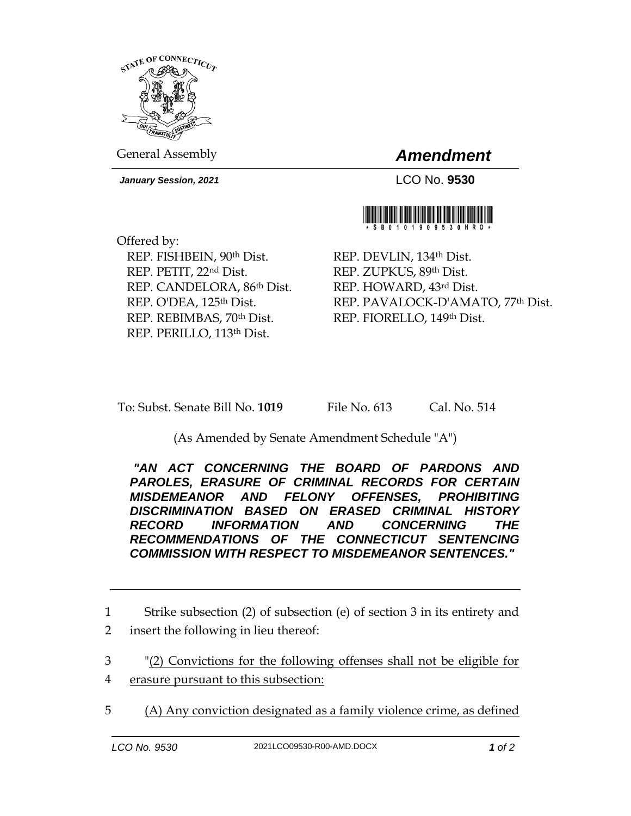

General Assembly *Amendment*

*January Session, 2021* LCO No. **9530**



Offered by: REP. FISHBEIN, 90th Dist. REP. PETIT, 22nd Dist. REP. CANDELORA, 86th Dist. REP. O'DEA, 125<sup>th</sup> Dist. REP. REBIMBAS, 70th Dist. REP. PERILLO, 113th Dist.

REP. DEVLIN, 134th Dist. REP. ZUPKUS, 89th Dist. REP. HOWARD, 43rd Dist. REP. PAVALOCK-D'AMATO, 77th Dist. REP. FIORELLO, 149th Dist.

To: Subst. Senate Bill No. **1019** File No. 613 Cal. No. 514

(As Amended by Senate Amendment Schedule "A")

*"AN ACT CONCERNING THE BOARD OF PARDONS AND PAROLES, ERASURE OF CRIMINAL RECORDS FOR CERTAIN MISDEMEANOR AND FELONY OFFENSES, PROHIBITING DISCRIMINATION BASED ON ERASED CRIMINAL HISTORY RECORD INFORMATION AND CONCERNING THE RECOMMENDATIONS OF THE CONNECTICUT SENTENCING COMMISSION WITH RESPECT TO MISDEMEANOR SENTENCES."* 

1 Strike subsection (2) of subsection (e) of section 3 in its entirety and 2 insert the following in lieu thereof:

3 "(2) Convictions for the following offenses shall not be eligible for

- 4 erasure pursuant to this subsection:
- 5 (A) Any conviction designated as a family violence crime, as defined